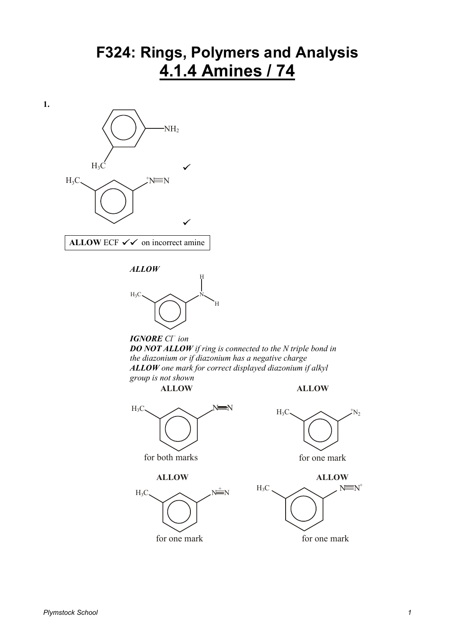## **F324: Rings, Polymers and Analysis 4.1.4 Amines / 74**











**1.**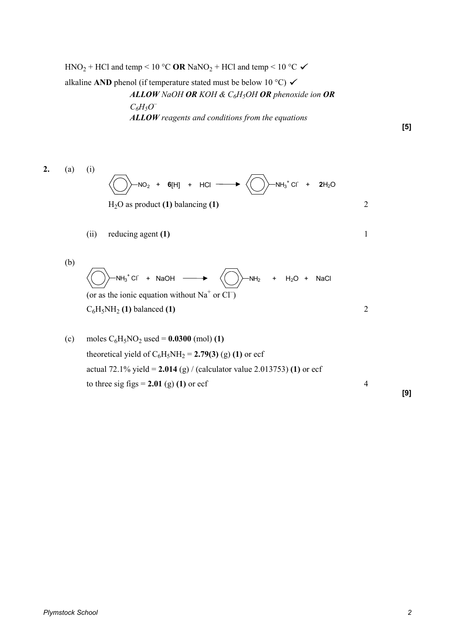$HNO<sub>2</sub> + HCl$  and temp < 10 °C **OR** NaNO<sub>2</sub> + HCl and temp < 10 °C

alkaline **AND** phenol (if temperature stated must be below 10 °C)  $\checkmark$ *ALLOW NaOH OR KOH & C6H5OH OR phenoxide ion OR C6H5O – ALLOW reagents and conditions from the equations* 

**[5]** 



**[9]**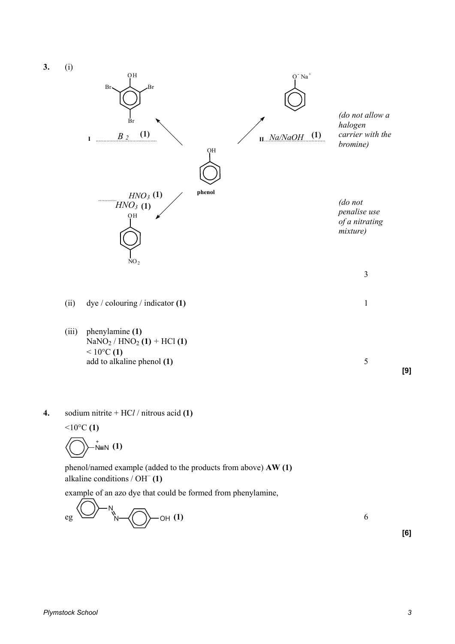**3.** (i)



**4.** sodium nitrite + HC*l* / nitrous acid **(1)**  $10^{\circ}$ C (1)

$$
\bigotimes\nolimits^+_{N\equiv N}\left(1\right)
$$

 phenol/named example (added to the products from above) **AW (1)** alkaline conditions / OH– **(1)**

example of an azo dye that could be formed from phenylamine,

$$
eg \bigotimes_{N} N
$$

**[6]** 

**[9]**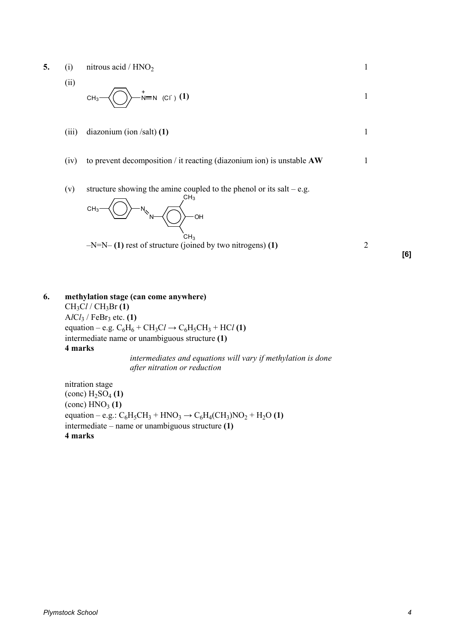- **5.** (i) nitrous acid /  $HNO<sub>2</sub>$  1
	- (ii)

$$
CH_3 \longrightarrow \longrightarrow^{\bullet} \mathbb{N} \quad (C \cap \setminus (1)
$$

(iii) diazonium (ion /salt) **(1)** 1

- (iv) to prevent decomposition / it reacting (diazonium ion) is unstable **AW** 1
- (v) structure showing the amine coupled to the phenol or its salt e.g.



**[6]** 

**6. methylation stage (can come anywhere)**   $CH<sub>3</sub>Cl$  /  $CH<sub>3</sub>Br(1)$ A*l*C*l*<sup>3</sup> / FeBr<sup>3</sup> etc. **(1)** equation – e.g.  $C_6H_6 + CH_3Cl \rightarrow C_6H_5CH_3 + HCl$  (1) intermediate name or unambiguous structure **(1) 4 marks** *intermediates and equations will vary if methylation is done* 

*after nitration or reduction* 

 nitration stage  $\left(\text{conc}\right) H_2SO_4\left(1\right)$  $\left(\text{conc}\right)$  HNO<sub>3</sub> $\left(1\right)$ equation – e.g.:  $C_6H_5CH_3 + HNO_3 \rightarrow C_6H_4(CH_3)NO_2 + H_2O$  (1) intermediate – name or unambiguous structure **(1) 4 marks**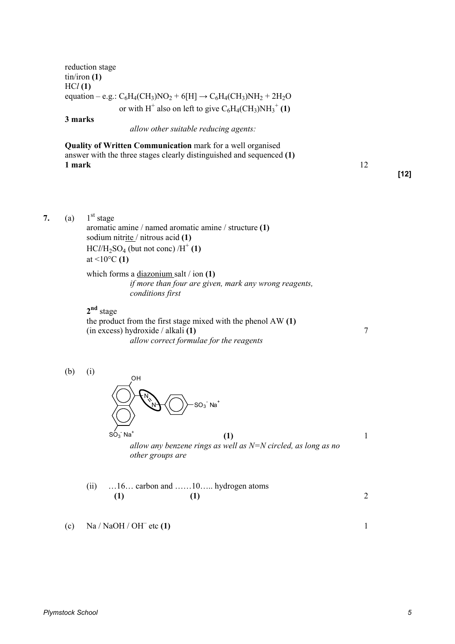reduction stage tin/iron **(1)** HC*l* **(1)** equation – e.g.:  $C_6H_4(CH_3)NO_2 + 6[H] \rightarrow C_6H_4(CH_3)NH_2 + 2H_2O$ or with H<sup>+</sup> also on left to give  $C_6H_4(CH_3)NH_3^+$  (1)

**3 marks**

*allow other suitable reducing agents:* 

**Quality of Written Communication** mark for a well organised answer with the three stages clearly distinguished and sequenced **(1) 1 mark** 12

**[12]** 

7. (a)  $1<sup>st</sup> stage$ aromatic amine / named aromatic amine / structure **(1)**  sodium nitrite / nitrous acid **(1)**   $HCI/H_2SO_4$  (but not conc)  $/H^+(1)$ at <10°C **(1)**

 which forms a diazonium salt / ion **(1)** *if more than four are given, mark any wrong reagents, conditions first* 

**2 nd** stage

the product from the first stage mixed with the phenol AW **(1)**  (in excess) hydroxide / alkali **(1)** 7 *allow correct formulae for the reagents* 

(b) (i)



**(1)** 1 *allow any benzene rings as well as N=N circled, as long as no other groups are* 

(ii) …16… carbon and ……10….. hydrogen atoms **(1) (1)** 2

(c) Na / NaOH / OH– etc **(1)** 1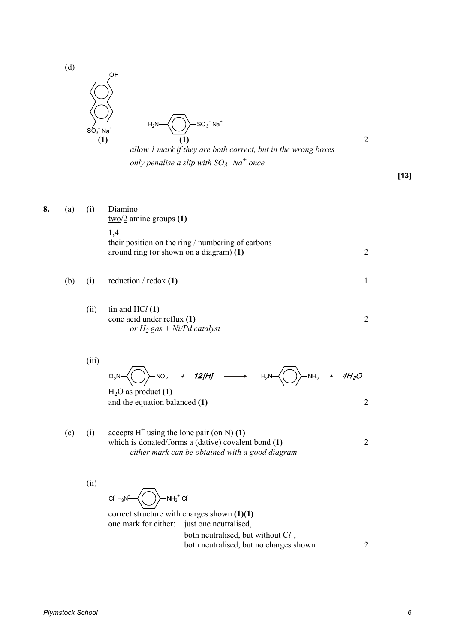

**[13]** 

**8.** (a) (i) Diamino two/2 amine groups **(1)** 1,4 their position on the ring / numbering of carbons around ring (or shown on a diagram) **(1)** 2 (b) (i) reduction / redox **(1)** 1 (ii) tin and HC*l* **(1)**  conc acid under reflux **(1)** 2 *or H<sup>2</sup> gas + Ni/Pd catalyst* 

*only penalise a slip with*  $SO_3^-$  $Na^+$  *once* 

$$
O_2N \left(\bigcirc \rightarrow NO_2 \rightarrow 12[H] \longrightarrow H_2N \left(\bigcirc \rightarrow NH_2 \rightarrow 4H_2O \right)
$$
  
H<sub>2</sub>O as product (1)

and the equation balanced **(1)** 2

(c) (i) accepts  $H^+$  using the lone pair (on N) (1) which is donated/forms a (dative) covalent bond **(1)** 2 *either mark can be obtained with a good diagram* 

(ii)

(iii)

 $NH<sub>3</sub>$ + Cl- $Cl^{\dagger} H_3N^{\dagger}$ 

correct structure with charges shown **(1)(1)**  one mark for either: just one neutralised, both neutralised, but without  $\mathbb{C}\mathbb{Z}$ , both neutralised, but no charges shown 2